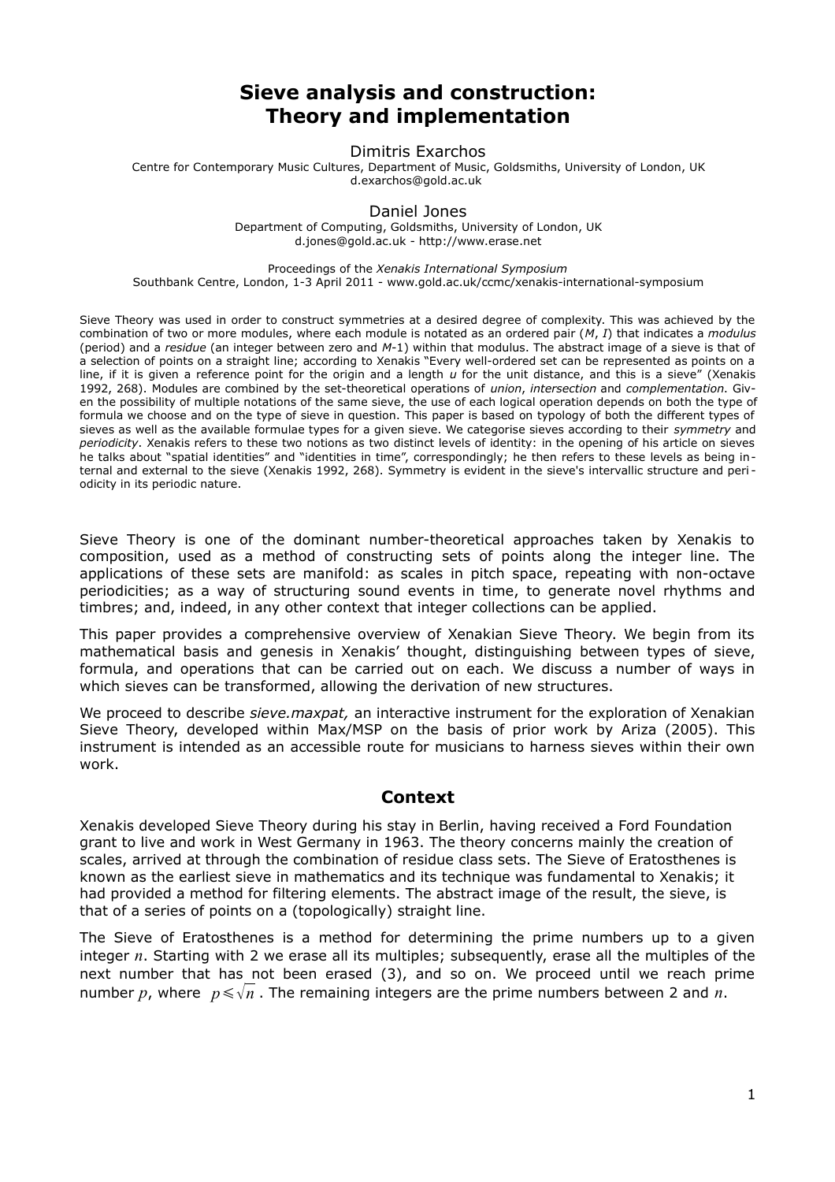# **Sieve analysis and construction: Theory and implementation**

Dimitris Exarchos

Centre for Contemporary Music Cultures, Department of Music, Goldsmiths, University of London, UK d.exarchos@gold.ac.uk

### Daniel Jones

Department of Computing, Goldsmiths, University of London, UK d.jones@gold.ac.uk - http://www.erase.net

#### Proceedings of the *Xenakis International Symposium*

Southbank Centre, London, 1-3 April 2011 - www.gold.ac.uk/ccmc/xenakis-international-symposium

Sieve Theory was used in order to construct symmetries at a desired degree of complexity. This was achieved by the combination of two or more modules, where each module is notated as an ordered pair (*M*, *I*) that indicates a *modulus* (period) and a *residue* (an integer between zero and *M*-1) within that modulus. The abstract image of a sieve is that of a selection of points on a straight line; according to Xenakis "Every well-ordered set can be represented as points on a line, if it is given a reference point for the origin and a length *u* for the unit distance, and this is a sieve" (Xenakis 1992, 268). Modules are combined by the set-theoretical operations of *union*, *intersection* and *complementation*. Given the possibility of multiple notations of the same sieve, the use of each logical operation depends on both the type of formula we choose and on the type of sieve in question. This paper is based on typology of both the different types of sieves as well as the available formulae types for a given sieve. We categorise sieves according to their *symmetry* and *periodicity*. Xenakis refers to these two notions as two distinct levels of identity: in the opening of his article on sieves he talks about "spatial identities" and "identities in time", correspondingly; he then refers to these levels as being internal and external to the sieve (Xenakis 1992, 268). Symmetry is evident in the sieve's intervallic structure and peri odicity in its periodic nature.

Sieve Theory is one of the dominant number-theoretical approaches taken by Xenakis to composition, used as a method of constructing sets of points along the integer line. The applications of these sets are manifold: as scales in pitch space, repeating with non-octave periodicities; as a way of structuring sound events in time, to generate novel rhythms and timbres; and, indeed, in any other context that integer collections can be applied.

This paper provides a comprehensive overview of Xenakian Sieve Theory. We begin from its mathematical basis and genesis in Xenakis' thought, distinguishing between types of sieve, formula, and operations that can be carried out on each. We discuss a number of ways in which sieves can be transformed, allowing the derivation of new structures.

We proceed to describe *sieve.maxpat,* an interactive instrument for the exploration of Xenakian Sieve Theory, developed within Max/MSP on the basis of prior work by Ariza (2005). This instrument is intended as an accessible route for musicians to harness sieves within their own work.

### **Context**

Xenakis developed Sieve Theory during his stay in Berlin, having received a Ford Foundation grant to live and work in West Germany in 1963. The theory concerns mainly the creation of scales, arrived at through the combination of residue class sets. The Sieve of Eratosthenes is known as the earliest sieve in mathematics and its technique was fundamental to Xenakis; it had provided a method for filtering elements. The abstract image of the result, the sieve, is that of a series of points on a (topologically) straight line.

The Sieve of Eratosthenes is a method for determining the prime numbers up to a given integer *n*. Starting with 2 we erase all its multiples; subsequently, erase all the multiples of the next number that has not been erased (3), and so on. We proceed until we reach prime number *p*, where  $p \le \sqrt{n}$ . The remaining integers are the prime numbers between 2 and *n*.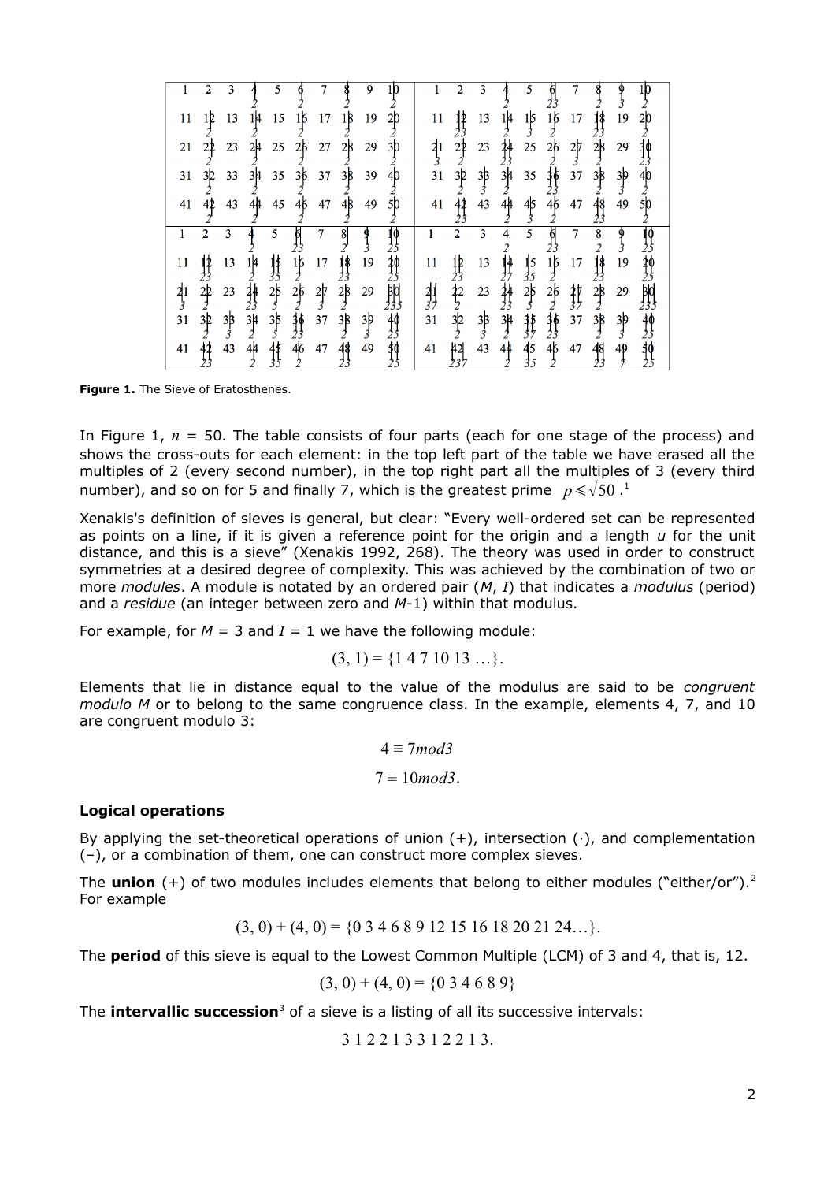|                | 2              | 3             |                  | 5               |                 |                | 8             | 9              |                 |                 | 2              | 3              |                 |                 |                           |                |                                   |                |                 |
|----------------|----------------|---------------|------------------|-----------------|-----------------|----------------|---------------|----------------|-----------------|-----------------|----------------|----------------|-----------------|-----------------|---------------------------|----------------|-----------------------------------|----------------|-----------------|
| 11             | 12             | 13            | 1 4              | 15              | 16              | 17             | 18            | 19             | 20              | 11              | 12             | 13             | 1 4             | 1þ              | 16                        | 17             | 18                                | 19             | 20              |
| 21             | 22             | 23            | 2μ               | 25              | 26              | 27             | 2β            | 29             | 30              | $\frac{21}{3}$  | $\frac{21}{2}$ | 23             | 44              | 25              | 26                        | $\frac{27}{3}$ | $2\beta$                          | 29             |                 |
| 31             | 3 <sub>2</sub> | 33            | 3μ               | 35              | 36              | 37             | 3B            | 39             | 40              | 31              | 3 <sub>2</sub> | $\frac{33}{3}$ | $\frac{34}{2}$  | 35              | $\frac{36}{2}$            | 37             | 38                                | $\frac{3}{3}$  | 40              |
| 41             | 42             | 43            | 44               | 45              | 4б              | 47             | 4β            | 49             | 50              | 41              | 42             | 43             | 44              | 45<br>⋠         | 4б                        | 47             | 48                                | 49             | 50              |
| 1              | $\overline{2}$ | 3             | 4                | 5               | þ               | $\overline{7}$ | 8             | $\frac{9}{3}$  | 49              | $\mathbf{1}$    | $\overline{2}$ | 3              | 4               | 5               | $\overline{\mathfrak{h}}$ | $\tau$         | 8                                 | १              | 49              |
| 11             | 12<br>J.       | 13            | $\frac{14}{2}$   | $\frac{1}{3}$   | $\frac{16}{2}$  | 17             | $\frac{1}{3}$ | 19             | 20<br>25        | 11              | $\frac{1}{23}$ | 13             | 排               | $\frac{1}{3}$   | $\frac{16}{2}$            | 17             | $\overline{\mathbf{c}}$<br>1\$    | 19             | 36              |
| $\frac{21}{3}$ | $\frac{2}{2}$  | 23            | 44               | $\frac{25}{5}$  | $\frac{26}{2}$  | $\frac{2}{3}$  | 28            | 29             | BЮ              | $\frac{21}{37}$ | $\frac{22}{2}$ | 23             | $\frac{14}{23}$ | $\frac{25}{5}$  | $\frac{26}{2}$            | $\frac{1}{3}$  | 28                                | 29             |                 |
| 31             | 3þ             | $\frac{3}{3}$ | $\frac{3\mu}{2}$ | $\frac{35}{5}$  | $\frac{36}{23}$ | 37             | 38            | $\frac{3b}{3}$ | $\frac{40}{25}$ | 31              | $3\frac{1}{2}$ | $\frac{3}{3}$  | $\frac{34}{2}$  | $\frac{35}{57}$ | $\frac{36}{23}$           | 37             | $\overline{c}$<br>$3\overline{8}$ | $\frac{3p}{3}$ | $\frac{40}{25}$ |
| 41             | 42             | 43            | 44               | $\frac{45}{35}$ | $\frac{46}{2}$  | 47             | 48            | 49             | \$0<br>25       | 41              | 4Þ             | 43             | 44              | $\frac{45}{35}$ | 46                        | 47             | $\frac{48}{23}$                   | 49             | $\frac{10}{25}$ |
|                |                |               |                  |                 |                 |                |               |                |                 |                 |                |                |                 |                 |                           |                |                                   |                |                 |

**Figure 1.** The Sieve of Eratosthenes.

In Figure 1, *n* = 50. The table consists of four parts (each for one stage of the process) and shows the cross-outs for each element: in the top left part of the table we have erased all the multiples of 2 (every second number), in the top right part all the multiples of 3 (every third number), and so on for 5 and finally 7, which is the greatest prime  $p \leqslant \sqrt{50}$  .<sup>[1](#page-11-0)</sup>

Xenakis's definition of sieves is general, but clear: "Every well-ordered set can be represented as points on a line, if it is given a reference point for the origin and a length *u* for the unit distance, and this is a sieve" (Xenakis 1992, 268). The theory was used in order to construct symmetries at a desired degree of complexity. This was achieved by the combination of two or more *modules*. A module is notated by an ordered pair (*M*, *I*) that indicates a *modulus* (period) and a *residue* (an integer between zero and *M*-1) within that modulus.

For example, for  $M = 3$  and  $I = 1$  we have the following module:

$$
(3, 1) = \{1 4 7 10 13 \ldots\}.
$$

Elements that lie in distance equal to the value of the modulus are said to be *congruent modulo M* or to belong to the same congruence class. In the example, elements 4, 7, and 10 are congruent modulo 3:

$$
4 \equiv 7 \mod 3
$$

$$
7 \equiv 10 \mod 3.
$$

#### **Logical operations**

By applying the set-theoretical operations of union  $(+)$ , intersection  $(\cdot)$ , and complementation (–), or a combination of them, one can construct more complex sieves.

The **union** (+) of two modules includes elements that belong to either modules ("either/or").<sup>[2](#page-12-0)</sup> For example

$$
(3, 0) + (4, 0) = \{0\ 3\ 4\ 6\ 8\ 9\ 12\ 15\ 16\ 18\ 20\ 21\ 24\ldots\}.
$$

The **period** of this sieve is equal to the Lowest Common Multiple (LCM) of 3 and 4, that is, 12.

$$
(3, 0) + (4, 0) = \{0\ 3\ 4\ 6\ 8\ 9\}
$$

The **intervallic succession**<sup>[3](#page-12-1)</sup> of a sieve is a listing of all its successive intervals:

3 1 2 2 1 3 3 1 2 2 1 3.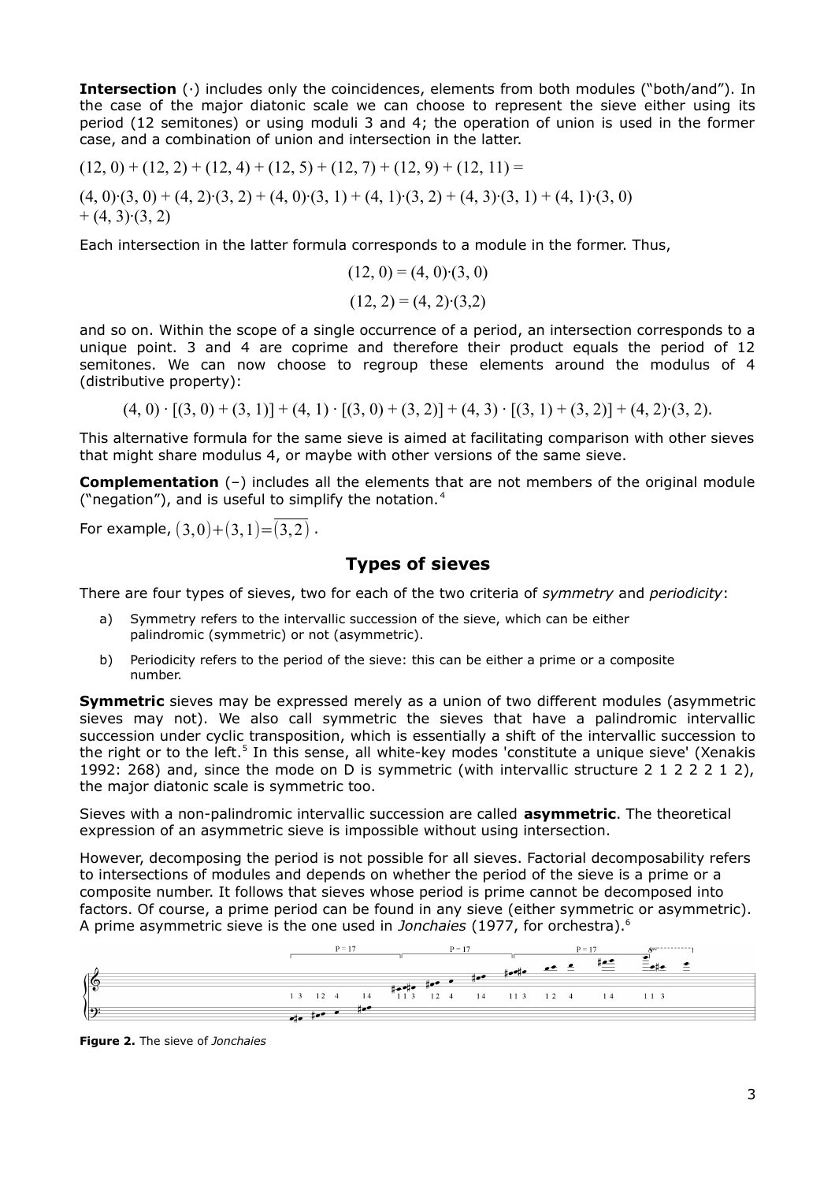**Intersection** (∙) includes only the coincidences, elements from both modules ("both/and"). In the case of the major diatonic scale we can choose to represent the sieve either using its period (12 semitones) or using moduli 3 and 4; the operation of union is used in the former case, and a combination of union and intersection in the latter.

$$
(12, 0) + (12, 2) + (12, 4) + (12, 5) + (12, 7) + (12, 9) + (12, 11) =
$$
  

$$
(4, 0) \cdot (3, 0) + (4, 2) \cdot (3, 2) + (4, 0) \cdot (3, 1) + (4, 1) \cdot (3, 2) + (4, 3) \cdot (3, 1) + (4, 1) \cdot (3, 0) + (4, 3) \cdot (3, 2)
$$

Each intersection in the latter formula corresponds to a module in the former. Thus,

$$
(12, 0) = (4, 0) \cdot (3, 0)
$$

$$
(12, 2) = (4, 2) \cdot (3, 2)
$$

and so on. Within the scope of a single occurrence of a period, an intersection corresponds to a unique point. 3 and 4 are coprime and therefore their product equals the period of 12 semitones. We can now choose to regroup these elements around the modulus of 4 (distributive property):

 $(4, 0) \cdot [(3, 0) + (3, 1)] + (4, 1) \cdot [(3, 0) + (3, 2)] + (4, 3) \cdot [(3, 1) + (3, 2)] + (4, 2) \cdot (3, 2).$ 

This alternative formula for the same sieve is aimed at facilitating comparison with other sieves that might share modulus 4, or maybe with other versions of the same sieve.

**Complementation** (–) includes all the elements that are not members of the original module ("negation"), and is useful to simplify the notation. [4](#page-12-2)

For example,  $(3,0)+(3,1)=(3,2)$ .

# **Types of sieves**

There are four types of sieves, two for each of the two criteria of *symmetry* and *periodicity*:

- a) Symmetry refers to the intervallic succession of the sieve, which can be either palindromic (symmetric) or not (asymmetric).
- b) Periodicity refers to the period of the sieve: this can be either a prime or a composite number.

**Symmetric** sieves may be expressed merely as a union of two different modules (asymmetric sieves may not). We also call symmetric the sieves that have a palindromic intervallic succession under cyclic transposition, which is essentially a shift of the intervallic succession to the right or to the left.<sup>[5](#page-12-3)</sup> In this sense, all white-key modes 'constitute a unique sieve' (Xenakis 1992: 268) and, since the mode on D is symmetric (with intervallic structure 2 1 2 2 2 1 2), the major diatonic scale is symmetric too.

Sieves with a non-palindromic intervallic succession are called **asymmetric**. The theoretical expression of an asymmetric sieve is impossible without using intersection.

However, decomposing the period is not possible for all sieves. Factorial decomposability refers to intersections of modules and depends on whether the period of the sieve is a prime or a composite number. It follows that sieves whose period is prime cannot be decomposed into factors. Of course, a prime period can be found in any sieve (either symmetric or asymmetric). A prime asymmetric sieve is the one used in *Jonchaies* (1977, for orchestra).[6](#page-12-4)



**Figure 2.** The sieve of *Jonchaies*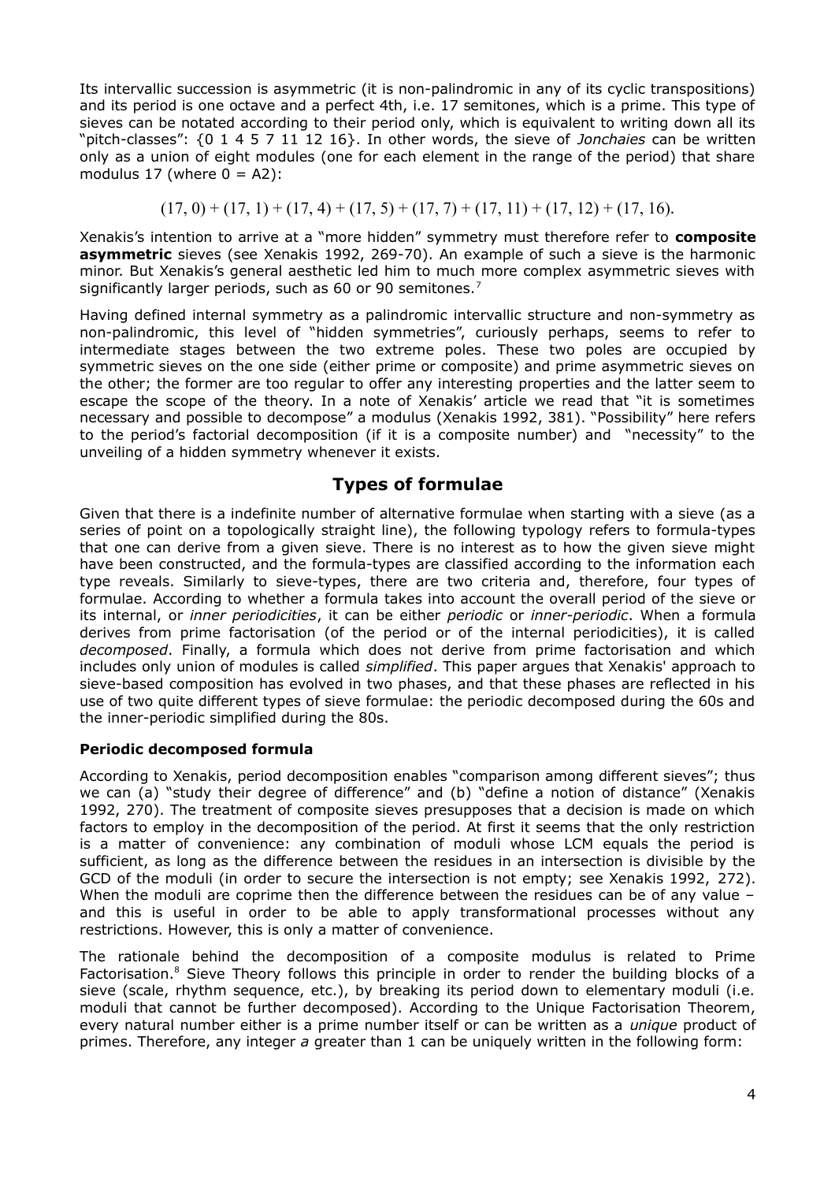Its intervallic succession is asymmetric (it is non-palindromic in any of its cyclic transpositions) and its period is one octave and a perfect 4th, i.e. 17 semitones, which is a prime. This type of sieves can be notated according to their period only, which is equivalent to writing down all its "pitch-classes": {0 1 4 5 7 11 12 16}. In other words, the sieve of *Jonchaies* can be written only as a union of eight modules (one for each element in the range of the period) that share modulus 17 (where  $0 = A2$ ):

$$
(17, 0) + (17, 1) + (17, 4) + (17, 5) + (17, 7) + (17, 11) + (17, 12) + (17, 16).
$$

Xenakis's intention to arrive at a "more hidden" symmetry must therefore refer to **composite asymmetric** sieves (see Xenakis 1992, 269-70). An example of such a sieve is the harmonic minor. But Xenakis's general aesthetic led him to much more complex asymmetric sieves with significantly larger periods, such as 60 or 90 semitones.<sup>[7](#page-12-5)</sup>

Having defined internal symmetry as a palindromic intervallic structure and non-symmetry as non-palindromic, this level of "hidden symmetries", curiously perhaps, seems to refer to intermediate stages between the two extreme poles. These two poles are occupied by symmetric sieves on the one side (either prime or composite) and prime asymmetric sieves on the other; the former are too regular to offer any interesting properties and the latter seem to escape the scope of the theory. In a note of Xenakis' article we read that "it is sometimes necessary and possible to decompose" a modulus (Xenakis 1992, 381). "Possibility" here refers to the period's factorial decomposition (if it is a composite number) and "necessity" to the unveiling of a hidden symmetry whenever it exists.

# **Types of formulae**

Given that there is a indefinite number of alternative formulae when starting with a sieve (as a series of point on a topologically straight line), the following typology refers to formula-types that one can derive from a given sieve. There is no interest as to how the given sieve might have been constructed, and the formula-types are classified according to the information each type reveals. Similarly to sieve-types, there are two criteria and, therefore, four types of formulae. According to whether a formula takes into account the overall period of the sieve or its internal, or *inner periodicities*, it can be either *periodic* or *inner-periodic*. When a formula derives from prime factorisation (of the period or of the internal periodicities), it is called *decomposed*. Finally, a formula which does not derive from prime factorisation and which includes only union of modules is called *simplified*. This paper argues that Xenakis' approach to sieve-based composition has evolved in two phases, and that these phases are reflected in his use of two quite different types of sieve formulae: the periodic decomposed during the 60s and the inner-periodic simplified during the 80s.

### **Periodic decomposed formula**

According to Xenakis, period decomposition enables "comparison among different sieves"; thus we can (a) "study their degree of difference" and (b) "define a notion of distance" (Xenakis 1992, 270). The treatment of composite sieves presupposes that a decision is made on which factors to employ in the decomposition of the period. At first it seems that the only restriction is a matter of convenience: any combination of moduli whose LCM equals the period is sufficient, as long as the difference between the residues in an intersection is divisible by the GCD of the moduli (in order to secure the intersection is not empty; see Xenakis 1992, 272). When the moduli are coprime then the difference between the residues can be of any value and this is useful in order to be able to apply transformational processes without any restrictions. However, this is only a matter of convenience.

The rationale behind the decomposition of a composite modulus is related to Prime Factorisation.<sup>[8](#page-12-6)</sup> Sieve Theory follows this principle in order to render the building blocks of a sieve (scale, rhythm sequence, etc.), by breaking its period down to elementary moduli (i.e. moduli that cannot be further decomposed). According to the Unique Factorisation Theorem, every natural number either is a prime number itself or can be written as a *unique* product of primes. Therefore, any integer *a* greater than 1 can be uniquely written in the following form: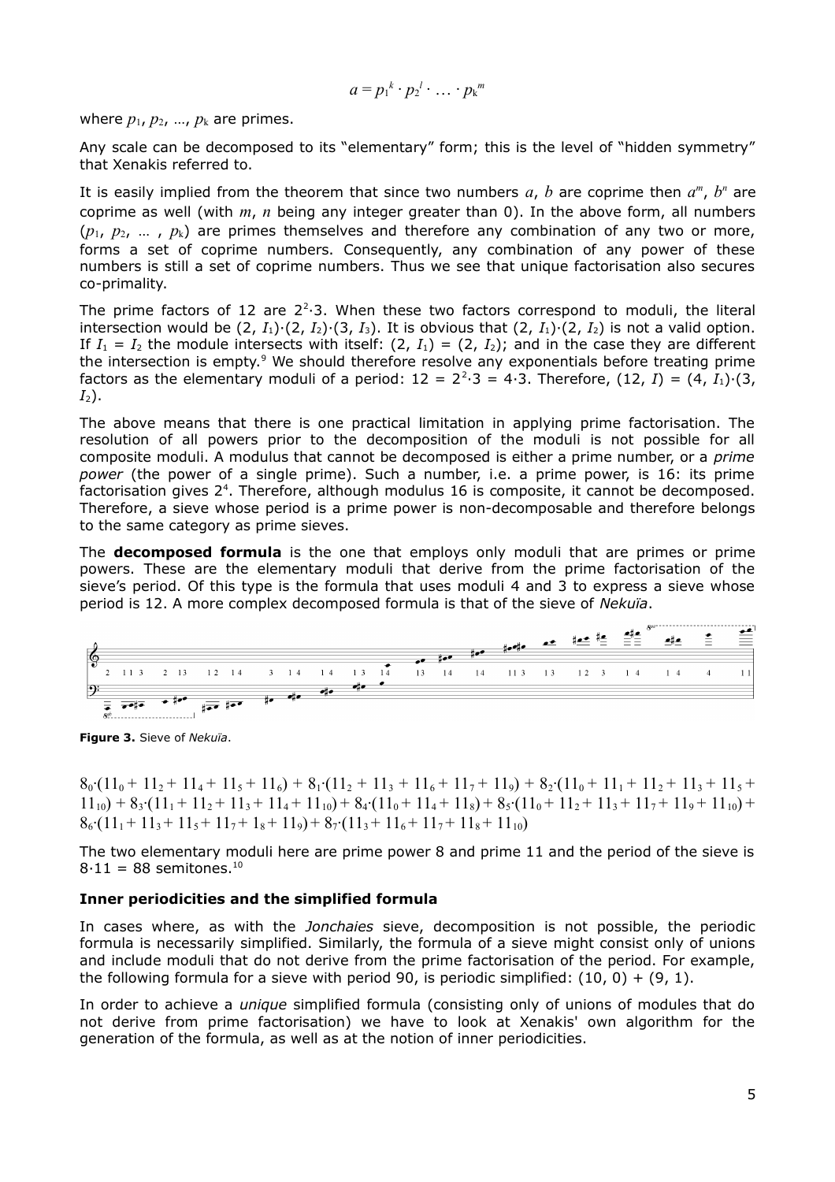$$
a=p_1^k\cdot p_2^l\cdot\ldots\cdot p_k^m
$$

where  $p_1$ ,  $p_2$ , ...,  $p_k$  are primes.

Any scale can be decomposed to its "elementary" form; this is the level of "hidden symmetry" that Xenakis referred to.

It is easily implied from the theorem that since two numbers  $a, b$  are coprime then  $a^m, b^n$  are coprime as well (with *m*, *n* being any integer greater than 0). In the above form, all numbers  $(p_1, p_2, ..., p_k)$  are primes themselves and therefore any combination of any two or more, forms a set of coprime numbers. Consequently, any combination of any power of these numbers is still a set of coprime numbers. Thus we see that unique factorisation also secures co-primality.

The prime factors of 12 are  $2^2$  $\cdot$ 3. When these two factors correspond to moduli, the literal intersection would be (2, *I*1)∙(2, *I*2)∙(3, *I*3). It is obvious that (2, *I*1)∙(2, *I*2) is not a valid option. If  $I_1 = I_2$  the module intersects with itself:  $(2, I_1) = (2, I_2)$ ; and in the case they are different the intersection is empty.<sup>[9](#page-12-7)</sup> We should therefore resolve any exponentials before treating prime factors as the elementary moduli of a period:  $12 = 2^2 \cdot 3 = 4 \cdot 3$ . Therefore,  $(12, I) = (4, I_1) \cdot (3, I_1)$ *I*2).

The above means that there is one practical limitation in applying prime factorisation. The resolution of all powers prior to the decomposition of the moduli is not possible for all composite moduli. A modulus that cannot be decomposed is either a prime number, or a *prime power* (the power of a single prime). Such a number, i.e. a prime power, is 16: its prime factorisation gives  $2<sup>4</sup>$ . Therefore, although modulus 16 is composite, it cannot be decomposed. Therefore, a sieve whose period is a prime power is non-decomposable and therefore belongs to the same category as prime sieves.

The **decomposed formula** is the one that employs only moduli that are primes or prime powers. These are the elementary moduli that derive from the prime factorisation of the sieve's period. Of this type is the formula that uses moduli 4 and 3 to express a sieve whose period is 12. A more complex decomposed formula is that of the sieve of *Nekuïa*.



**Figure 3.** Sieve of *Nekuïa*.

 $8_0$ • $(11_0 + 11_2 + 11_4 + 11_5 + 11_6) + 8_1$ • $(11_2 + 11_3 + 11_6 + 11_7 + 11_9) + 8_2$ • $(11_0 + 11_1 + 11_2 + 11_3 + 11_5 +$  $11_{10}$  + 83⋅ $(11_1 + 11_2 + 11_3 + 11_4 + 11_{10}) + 8_4$ ⋅ $(11_0 + 11_4 + 11_8) + 8_5$ ⋅ $(11_0 + 11_2 + 11_3 + 11_7 + 11_9 + 11_{10}) +$  $8_6$ • $(11_1 + 11_3 + 11_5 + 11_7 + 1_8 + 11_9) + 8_7$ • $(11_3 + 11_6 + 11_7 + 11_8 + 11_{10})$ 

The two elementary moduli here are prime power 8 and prime 11 and the period of the sieve is  $8·11 = 88$  semitones.<sup>[10](#page-12-8)</sup>

#### **Inner periodicities and the simplified formula**

In cases where, as with the *Jonchaies* sieve, decomposition is not possible, the periodic formula is necessarily simplified. Similarly, the formula of a sieve might consist only of unions and include moduli that do not derive from the prime factorisation of the period. For example, the following formula for a sieve with period 90, is periodic simplified:  $(10, 0) + (9, 1)$ .

In order to achieve a *unique* simplified formula (consisting only of unions of modules that do not derive from prime factorisation) we have to look at Xenakis' own algorithm for the generation of the formula, as well as at the notion of inner periodicities.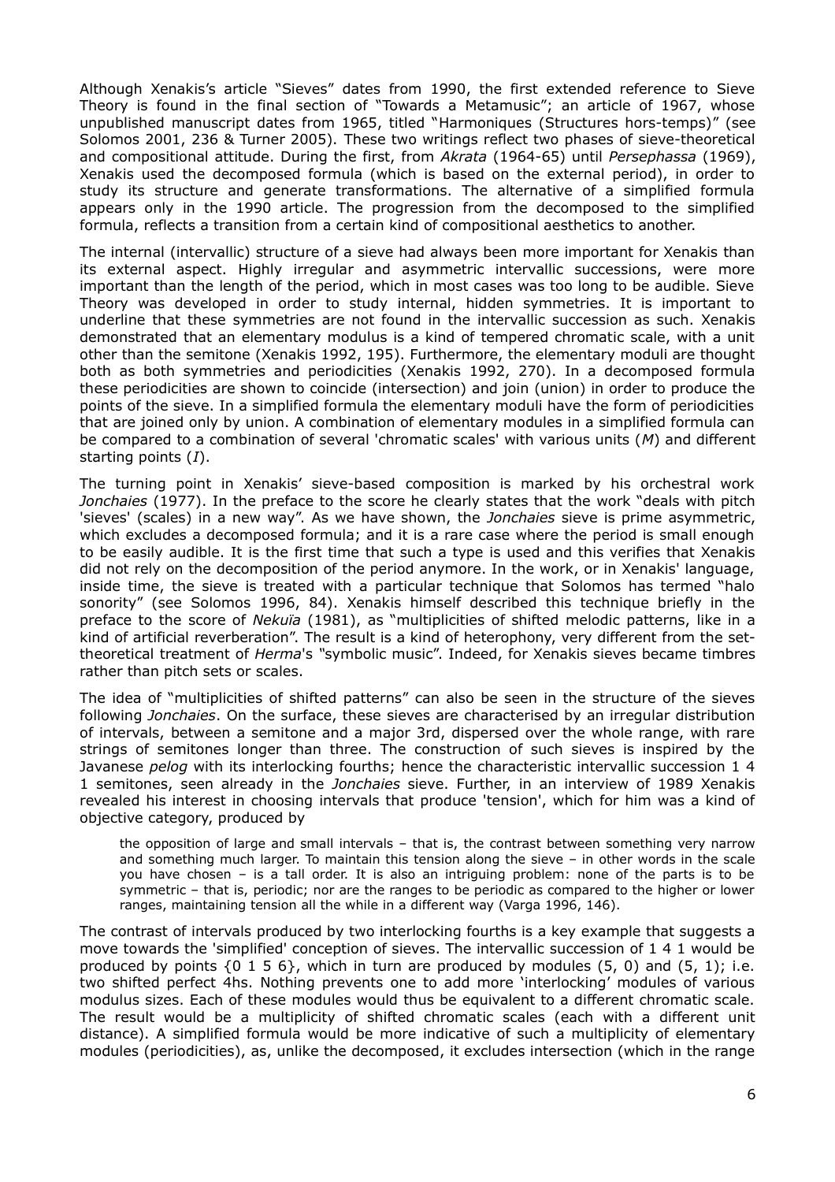Although Xenakis's article "Sieves" dates from 1990, the first extended reference to Sieve Theory is found in the final section of "Towards a Metamusic"; an article of 1967, whose unpublished manuscript dates from 1965, titled "Harmoniques (Structures hors-temps)" (see Solomos 2001, 236 & Turner 2005). These two writings reflect two phases of sieve-theoretical and compositional attitude. During the first, from *Akrata* (1964-65) until *Persephassa* (1969), Xenakis used the decomposed formula (which is based on the external period), in order to study its structure and generate transformations. The alternative of a simplified formula appears only in the 1990 article. The progression from the decomposed to the simplified formula, reflects a transition from a certain kind of compositional aesthetics to another.

The internal (intervallic) structure of a sieve had always been more important for Xenakis than its external aspect. Highly irregular and asymmetric intervallic successions, were more important than the length of the period, which in most cases was too long to be audible. Sieve Theory was developed in order to study internal, hidden symmetries. It is important to underline that these symmetries are not found in the intervallic succession as such. Xenakis demonstrated that an elementary modulus is a kind of tempered chromatic scale, with a unit other than the semitone (Xenakis 1992, 195). Furthermore, the elementary moduli are thought both as both symmetries and periodicities (Xenakis 1992, 270). In a decomposed formula these periodicities are shown to coincide (intersection) and join (union) in order to produce the points of the sieve. In a simplified formula the elementary moduli have the form of periodicities that are joined only by union. A combination of elementary modules in a simplified formula can be compared to a combination of several 'chromatic scales' with various units (*M*) and different starting points (*I*).

The turning point in Xenakis' sieve-based composition is marked by his orchestral work *Jonchaies* (1977). In the preface to the score he clearly states that the work "deals with pitch 'sieves' (scales) in a new way". As we have shown, the *Jonchaies* sieve is prime asymmetric, which excludes a decomposed formula; and it is a rare case where the period is small enough to be easily audible. It is the first time that such a type is used and this verifies that Xenakis did not rely on the decomposition of the period anymore. In the work, or in Xenakis' language, inside time, the sieve is treated with a particular technique that Solomos has termed "halo sonority" (see Solomos 1996, 84). Xenakis himself described this technique briefly in the preface to the score of *Nekuïa* (1981), as "multiplicities of shifted melodic patterns, like in a kind of artificial reverberation". The result is a kind of heterophony, very different from the settheoretical treatment of *Herma*'s *"*symbolic music". Indeed, for Xenakis sieves became timbres rather than pitch sets or scales.

The idea of "multiplicities of shifted patterns" can also be seen in the structure of the sieves following *Jonchaies*. On the surface, these sieves are characterised by an irregular distribution of intervals, between a semitone and a major 3rd, dispersed over the whole range, with rare strings of semitones longer than three. The construction of such sieves is inspired by the Javanese *pelog* with its interlocking fourths; hence the characteristic intervallic succession 1 4 1 semitones, seen already in the *Jonchaies* sieve. Further, in an interview of 1989 Xenakis revealed his interest in choosing intervals that produce 'tension', which for him was a kind of objective category, produced by

the opposition of large and small intervals – that is, the contrast between something very narrow and something much larger. To maintain this tension along the sieve – in other words in the scale you have chosen – is a tall order. It is also an intriguing problem: none of the parts is to be symmetric – that is, periodic; nor are the ranges to be periodic as compared to the higher or lower ranges, maintaining tension all the while in a different way (Varga 1996, 146).

The contrast of intervals produced by two interlocking fourths is a key example that suggests a move towards the 'simplified' conception of sieves. The intervallic succession of 1 4 1 would be produced by points  $\{0, 1, 5, 6\}$ , which in turn are produced by modules  $(5, 0)$  and  $(5, 1)$ ; i.e. two shifted perfect 4hs. Nothing prevents one to add more 'interlocking' modules of various modulus sizes. Each of these modules would thus be equivalent to a different chromatic scale. The result would be a multiplicity of shifted chromatic scales (each with a different unit distance). A simplified formula would be more indicative of such a multiplicity of elementary modules (periodicities), as, unlike the decomposed, it excludes intersection (which in the range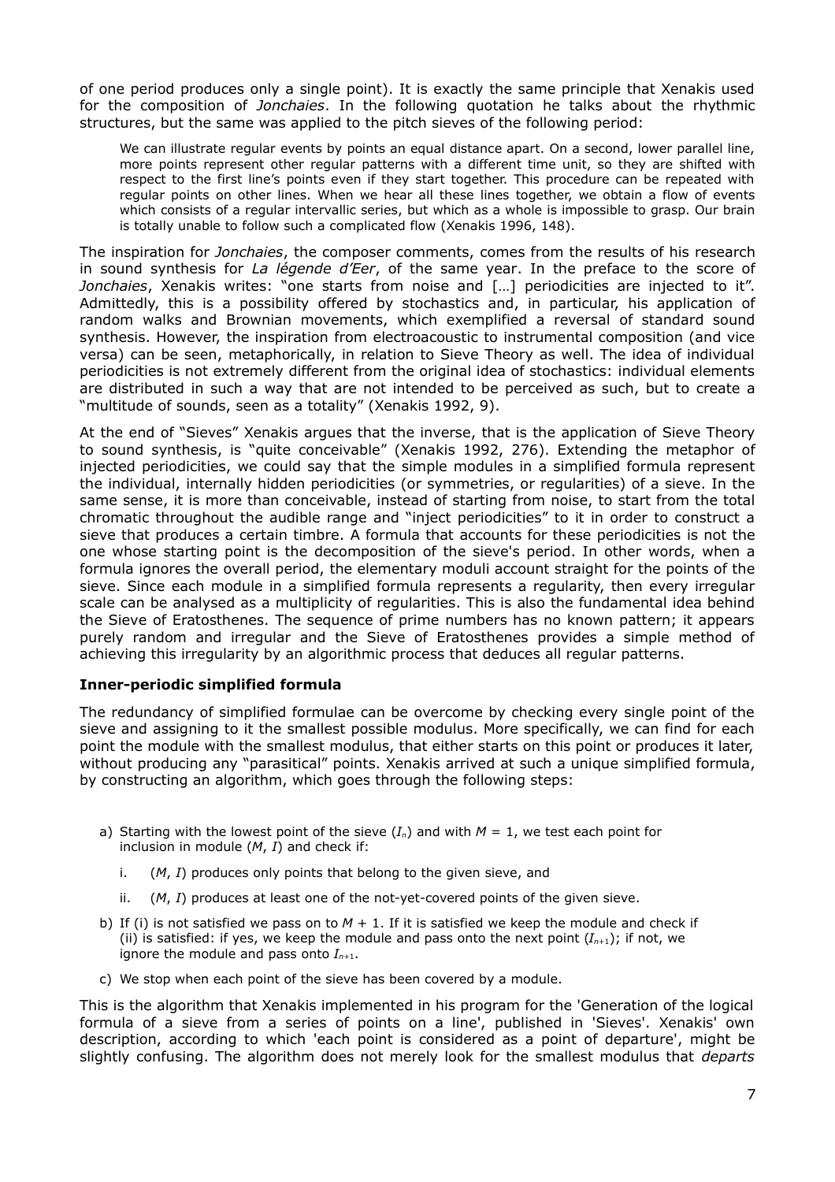of one period produces only a single point). It is exactly the same principle that Xenakis used for the composition of *Jonchaies*. In the following quotation he talks about the rhythmic structures, but the same was applied to the pitch sieves of the following period:

We can illustrate regular events by points an equal distance apart. On a second, lower parallel line, more points represent other regular patterns with a different time unit, so they are shifted with respect to the first line's points even if they start together. This procedure can be repeated with regular points on other lines. When we hear all these lines together, we obtain a flow of events which consists of a regular intervallic series, but which as a whole is impossible to grasp. Our brain is totally unable to follow such a complicated flow (Xenakis 1996, 148).

The inspiration for *Jonchaies*, the composer comments, comes from the results of his research in sound synthesis for *La légende d'Eer*, of the same year. In the preface to the score of *Jonchaies*, Xenakis writes: "one starts from noise and […] periodicities are injected to it". Admittedly, this is a possibility offered by stochastics and, in particular, his application of random walks and Brownian movements, which exemplified a reversal of standard sound synthesis. However, the inspiration from electroacoustic to instrumental composition (and vice versa) can be seen, metaphorically, in relation to Sieve Theory as well. The idea of individual periodicities is not extremely different from the original idea of stochastics: individual elements are distributed in such a way that are not intended to be perceived as such, but to create a "multitude of sounds, seen as a totality" (Xenakis 1992, 9).

At the end of "Sieves" Xenakis argues that the inverse, that is the application of Sieve Theory to sound synthesis, is "quite conceivable" (Xenakis 1992, 276). Extending the metaphor of injected periodicities, we could say that the simple modules in a simplified formula represent the individual, internally hidden periodicities (or symmetries, or regularities) of a sieve. In the same sense, it is more than conceivable, instead of starting from noise, to start from the total chromatic throughout the audible range and "inject periodicities" to it in order to construct a sieve that produces a certain timbre. A formula that accounts for these periodicities is not the one whose starting point is the decomposition of the sieve's period. In other words, when a formula ignores the overall period, the elementary moduli account straight for the points of the sieve. Since each module in a simplified formula represents a regularity, then every irregular scale can be analysed as a multiplicity of regularities. This is also the fundamental idea behind the Sieve of Eratosthenes. The sequence of prime numbers has no known pattern; it appears purely random and irregular and the Sieve of Eratosthenes provides a simple method of achieving this irregularity by an algorithmic process that deduces all regular patterns.

### **Inner-periodic simplified formula**

The redundancy of simplified formulae can be overcome by checking every single point of the sieve and assigning to it the smallest possible modulus. More specifically, we can find for each point the module with the smallest modulus, that either starts on this point or produces it later, without producing any "parasitical" points. Xenakis arrived at such a unique simplified formula, by constructing an algorithm, which goes through the following steps:

- a) Starting with the lowest point of the sieve  $(I_n)$  and with  $M = 1$ , we test each point for inclusion in module (*M*, *I*) and check if:
	- i. (*M*, *I*) produces only points that belong to the given sieve, and
	- ii. (*M*, *I*) produces at least one of the not-yet-covered points of the given sieve.
- b) If (i) is not satisfied we pass on to  $M + 1$ . If it is satisfied we keep the module and check if (ii) is satisfied: if yes, we keep the module and pass onto the next point  $(I_{n+1})$ ; if not, we ignore the module and pass onto  $I_{n+1}$ .
- c) We stop when each point of the sieve has been covered by a module.

This is the algorithm that Xenakis implemented in his program for the 'Generation of the logical formula of a sieve from a series of points on a line', published in 'Sieves'. Xenakis' own description, according to which 'each point is considered as a point of departure', might be slightly confusing. The algorithm does not merely look for the smallest modulus that *departs*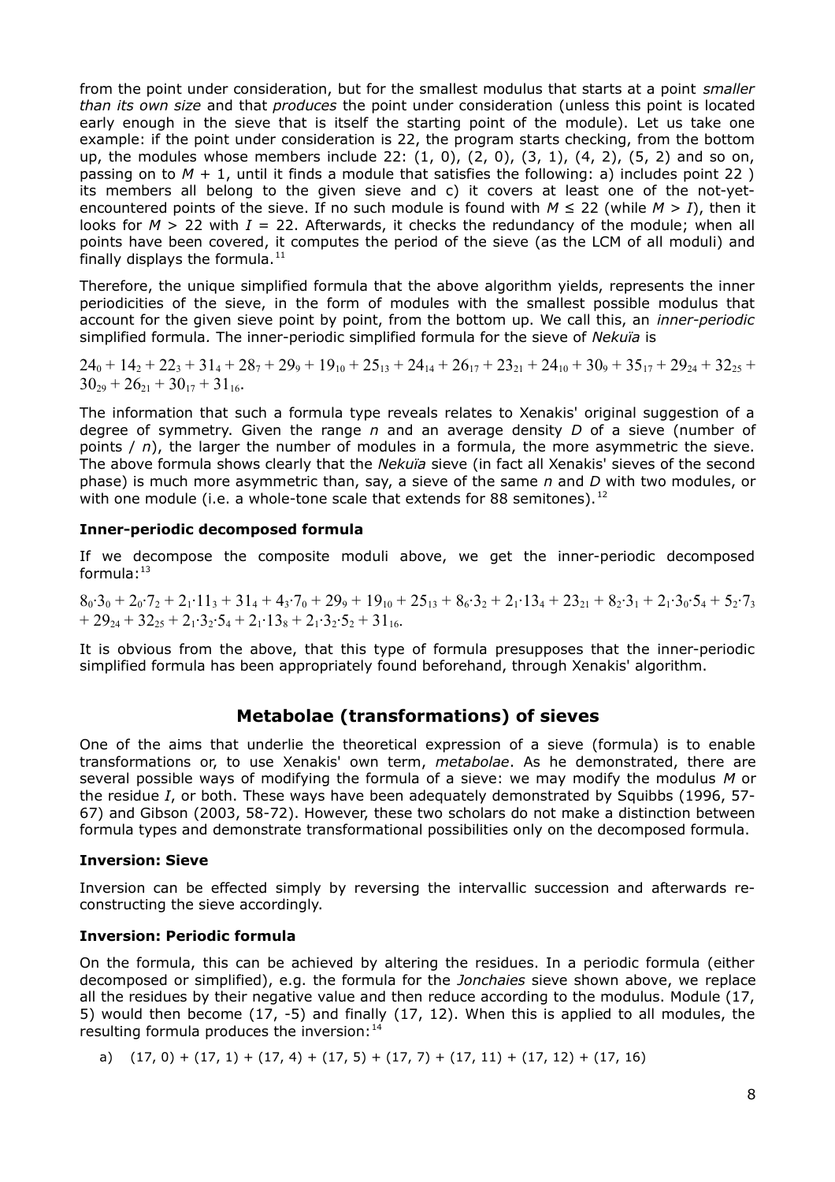from the point under consideration, but for the smallest modulus that starts at a point *smaller than its own size* and that *produces* the point under consideration (unless this point is located early enough in the sieve that is itself the starting point of the module). Let us take one example: if the point under consideration is 22, the program starts checking, from the bottom up, the modules whose members include 22:  $(1, 0)$ ,  $(2, 0)$ ,  $(3, 1)$ ,  $(4, 2)$ ,  $(5, 2)$  and so on, passing on to  $M + 1$ , until it finds a module that satisfies the following: a) includes point 22) its members all belong to the given sieve and c) it covers at least one of the not-yetencountered points of the sieve. If no such module is found with  $M \le 22$  (while  $M > I$ ), then it looks for  $M > 22$  with  $I = 22$ . Afterwards, it checks the redundancy of the module; when all points have been covered, it computes the period of the sieve (as the LCM of all moduli) and finally displays the formula. $^{11}$  $^{11}$  $^{11}$ 

Therefore, the unique simplified formula that the above algorithm yields, represents the inner periodicities of the sieve, in the form of modules with the smallest possible modulus that account for the given sieve point by point, from the bottom up. We call this, an *inner-periodic* simplified formula*.* The inner-periodic simplified formula for the sieve of *Nekuïa* is

 $24_0 + 14_2 + 22_3 + 31_4 + 28_7 + 29_9 + 19_{10} + 25_{13} + 24_{14} + 26_{17} + 23_{21} + 24_{10} + 30_9 + 35_{17} + 29_{24} + 32_{25} +$  $30_{29} + 26_{21} + 30_{17} + 31_{16}$ .

The information that such a formula type reveals relates to Xenakis' original suggestion of a degree of symmetry. Given the range *n* and an average density *D* of a sieve (number of points / *n*), the larger the number of modules in a formula, the more asymmetric the sieve. The above formula shows clearly that the *Nekuïa* sieve (in fact all Xenakis' sieves of the second phase) is much more asymmetric than, say, a sieve of the same *n* and *D* with two modules, or with one module (i.e. a whole-tone scale that extends for 88 semitones).<sup>[12](#page-12-10)</sup>

#### **Inner-periodic decomposed formula**

If we decompose the composite moduli above, we get the inner-periodic decomposed formula: $13$ 

 $8_0·3_0 + 2_0·7_2 + 2_1·11_3 + 31_4 + 4_3·7_0 + 29_9 + 19_{10} + 25_{13} + 8_6·3_2 + 2_1·13_4 + 23_{21} + 8_2·3_1 + 2_1·3_0·5_4 + 5_2·7_3$  $+ 29_{24} + 32_{25} + 2_1 \cdot 3_2 \cdot 5_4 + 2_1 \cdot 13_8 + 2_1 \cdot 3_2 \cdot 5_2 + 31_{16}$ 

It is obvious from the above, that this type of formula presupposes that the inner-periodic simplified formula has been appropriately found beforehand, through Xenakis' algorithm.

### **Metabolae (transformations) of sieves**

One of the aims that underlie the theoretical expression of a sieve (formula) is to enable transformations or, to use Xenakis' own term, *metabolae*. As he demonstrated, there are several possible ways of modifying the formula of a sieve: we may modify the modulus *M* or the residue *I*, or both. These ways have been adequately demonstrated by Squibbs (1996, 57- 67) and Gibson (2003, 58-72). However, these two scholars do not make a distinction between formula types and demonstrate transformational possibilities only on the decomposed formula.

#### **Inversion: Sieve**

Inversion can be effected simply by reversing the intervallic succession and afterwards reconstructing the sieve accordingly.

#### **Inversion: Periodic formula**

On the formula, this can be achieved by altering the residues. In a periodic formula (either decomposed or simplified), e.g. the formula for the *Jonchaies* sieve shown above, we replace all the residues by their negative value and then reduce according to the modulus. Module (17, 5) would then become (17, -5) and finally (17, 12). When this is applied to all modules, the resulting formula produces the inversion: [14](#page-12-12)

a) 
$$
(17, 0) + (17, 1) + (17, 4) + (17, 5) + (17, 7) + (17, 11) + (17, 12) + (17, 16)
$$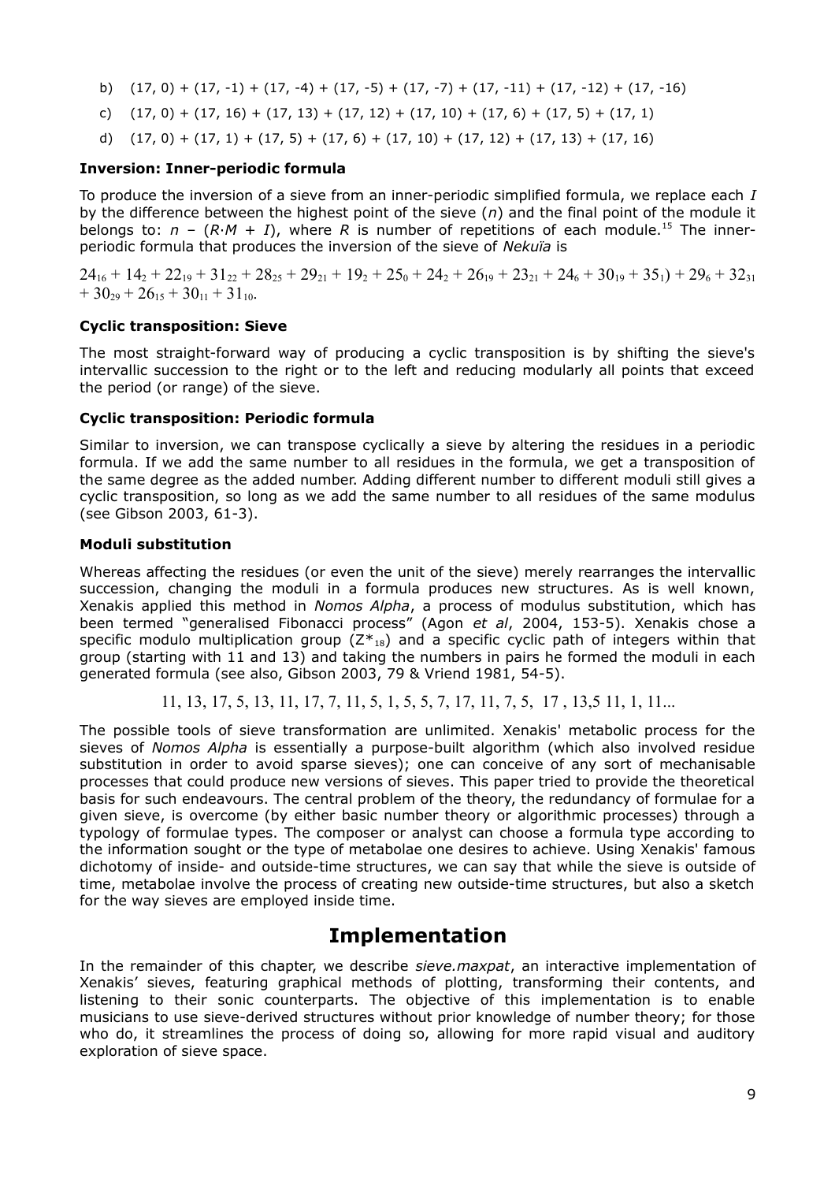- b)  $(17, 0) + (17, -1) + (17, -4) + (17, -5) + (17, -7) + (17, -11) + (17, -12) + (17, -16)$
- c)  $(17, 0) + (17, 16) + (17, 13) + (17, 12) + (17, 10) + (17, 6) + (17, 5) + (17, 1)$
- d)  $(17, 0) + (17, 1) + (17, 5) + (17, 6) + (17, 10) + (17, 12) + (17, 13) + (17, 16)$

#### **Inversion: Inner-periodic formula**

To produce the inversion of a sieve from an inner-periodic simplified formula, we replace each *I* by the difference between the highest point of the sieve (*n*) and the final point of the module it belongs to:  $n - (R \cdot M + I)$ , where R is number of repetitions of each module.<sup>[15](#page-12-13)</sup> The innerperiodic formula that produces the inversion of the sieve of *Nekuïa* is

 $24_{16} + 14_2 + 22_{19} + 31_{22} + 28_{25} + 29_{21} + 19_2 + 25_0 + 24_2 + 26_{19} + 23_{21} + 24_6 + 30_{19} + 35_1) + 29_6 + 32_{31}$  $+ 30_{29} + 26_{15} + 30_{11} + 31_{10}$ .

#### **Cyclic transposition: Sieve**

The most straight-forward way of producing a cyclic transposition is by shifting the sieve's intervallic succession to the right or to the left and reducing modularly all points that exceed the period (or range) of the sieve.

#### **Cyclic transposition: Periodic formula**

Similar to inversion, we can transpose cyclically a sieve by altering the residues in a periodic formula. If we add the same number to all residues in the formula, we get a transposition of the same degree as the added number. Adding different number to different moduli still gives a cyclic transposition, so long as we add the same number to all residues of the same modulus (see Gibson 2003, 61-3).

#### **Moduli substitution**

Whereas affecting the residues (or even the unit of the sieve) merely rearranges the intervallic succession, changing the moduli in a formula produces new structures. As is well known, Xenakis applied this method in *Nomos Alpha*, a process of modulus substitution, which has been termed "generalised Fibonacci process" (Agon *et al*, 2004, 153-5). Xenakis chose a specific modulo multiplication group  $(Z^*_{18})$  and a specific cyclic path of integers within that group (starting with 11 and 13) and taking the numbers in pairs he formed the moduli in each generated formula (see also, Gibson 2003, 79 & Vriend 1981, 54-5).

11, 13, 17, 5, 13, 11, 17, 7, 11, 5, 1, 5, 5, 7, 17, 11, 7, 5, 17 , 13,5 11, 1, 11...

The possible tools of sieve transformation are unlimited. Xenakis' metabolic process for the sieves of *Nomos Alpha* is essentially a purpose-built algorithm (which also involved residue substitution in order to avoid sparse sieves); one can conceive of any sort of mechanisable processes that could produce new versions of sieves. This paper tried to provide the theoretical basis for such endeavours. The central problem of the theory, the redundancy of formulae for a given sieve, is overcome (by either basic number theory or algorithmic processes) through a typology of formulae types. The composer or analyst can choose a formula type according to the information sought or the type of metabolae one desires to achieve. Using Xenakis' famous dichotomy of inside- and outside-time structures, we can say that while the sieve is outside of time, metabolae involve the process of creating new outside-time structures, but also a sketch for the way sieves are employed inside time.

# **Implementation**

In the remainder of this chapter, we describe *sieve.maxpat*, an interactive implementation of Xenakis' sieves, featuring graphical methods of plotting, transforming their contents, and listening to their sonic counterparts. The objective of this implementation is to enable musicians to use sieve-derived structures without prior knowledge of number theory; for those who do, it streamlines the process of doing so, allowing for more rapid visual and auditory exploration of sieve space.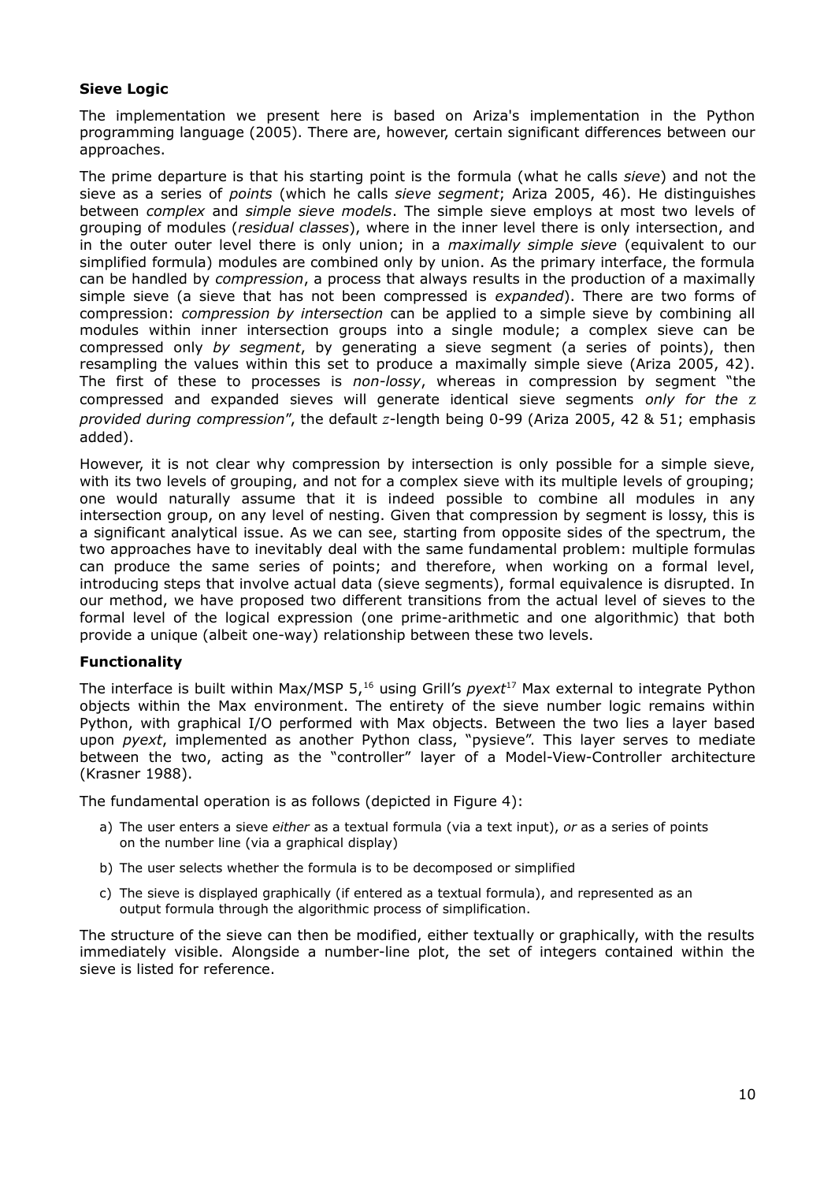### **Sieve Logic**

The implementation we present here is based on Ariza's implementation in the Python programming language (2005). There are, however, certain significant differences between our approaches.

The prime departure is that his starting point is the formula (what he calls *sieve*) and not the sieve as a series of *points* (which he calls *sieve segment*; Ariza 2005, 46). He distinguishes between *complex* and *simple sieve models*. The simple sieve employs at most two levels of grouping of modules (*residual classes*), where in the inner level there is only intersection, and in the outer outer level there is only union; in a *maximally simple sieve* (equivalent to our simplified formula) modules are combined only by union. As the primary interface, the formula can be handled by *compression*, a process that always results in the production of a maximally simple sieve (a sieve that has not been compressed is *expanded*). There are two forms of compression: *compression by intersection* can be applied to a simple sieve by combining all modules within inner intersection groups into a single module; a complex sieve can be compressed only *by segment*, by generating a sieve segment (a series of points), then resampling the values within this set to produce a maximally simple sieve (Ariza 2005, 42). The first of these to processes is *non-lossy*, whereas in compression by segment "the compressed and expanded sieves will generate identical sieve segments *only for the* z *provided during compression*", the default *z*-length being 0-99 (Ariza 2005, 42 & 51; emphasis added).

However, it is not clear why compression by intersection is only possible for a simple sieve, with its two levels of grouping, and not for a complex sieve with its multiple levels of grouping; one would naturally assume that it is indeed possible to combine all modules in any intersection group, on any level of nesting. Given that compression by segment is lossy, this is a significant analytical issue. As we can see, starting from opposite sides of the spectrum, the two approaches have to inevitably deal with the same fundamental problem: multiple formulas can produce the same series of points; and therefore, when working on a formal level, introducing steps that involve actual data (sieve segments), formal equivalence is disrupted. In our method, we have proposed two different transitions from the actual level of sieves to the formal level of the logical expression (one prime-arithmetic and one algorithmic) that both provide a unique (albeit one-way) relationship between these two levels.

### **Functionality**

The interface is built within Max/MSP 5.<sup>[16](#page-12-14)</sup> using Grill's *pyext*<sup>[17](#page-12-15)</sup> Max external to integrate Python objects within the Max environment. The entirety of the sieve number logic remains within Python, with graphical I/O performed with Max objects. Between the two lies a layer based upon *pyext*, implemented as another Python class, "pysieve". This layer serves to mediate between the two, acting as the "controller" layer of a Model-View-Controller architecture (Krasner 1988).

The fundamental operation is as follows (depicted in Figure 4):

- a) The user enters a sieve *either* as a textual formula (via a text input), *or* as a series of points on the number line (via a graphical display)
- b) The user selects whether the formula is to be decomposed or simplified
- c) The sieve is displayed graphically (if entered as a textual formula), and represented as an output formula through the algorithmic process of simplification.

The structure of the sieve can then be modified, either textually or graphically, with the results immediately visible. Alongside a number-line plot, the set of integers contained within the sieve is listed for reference.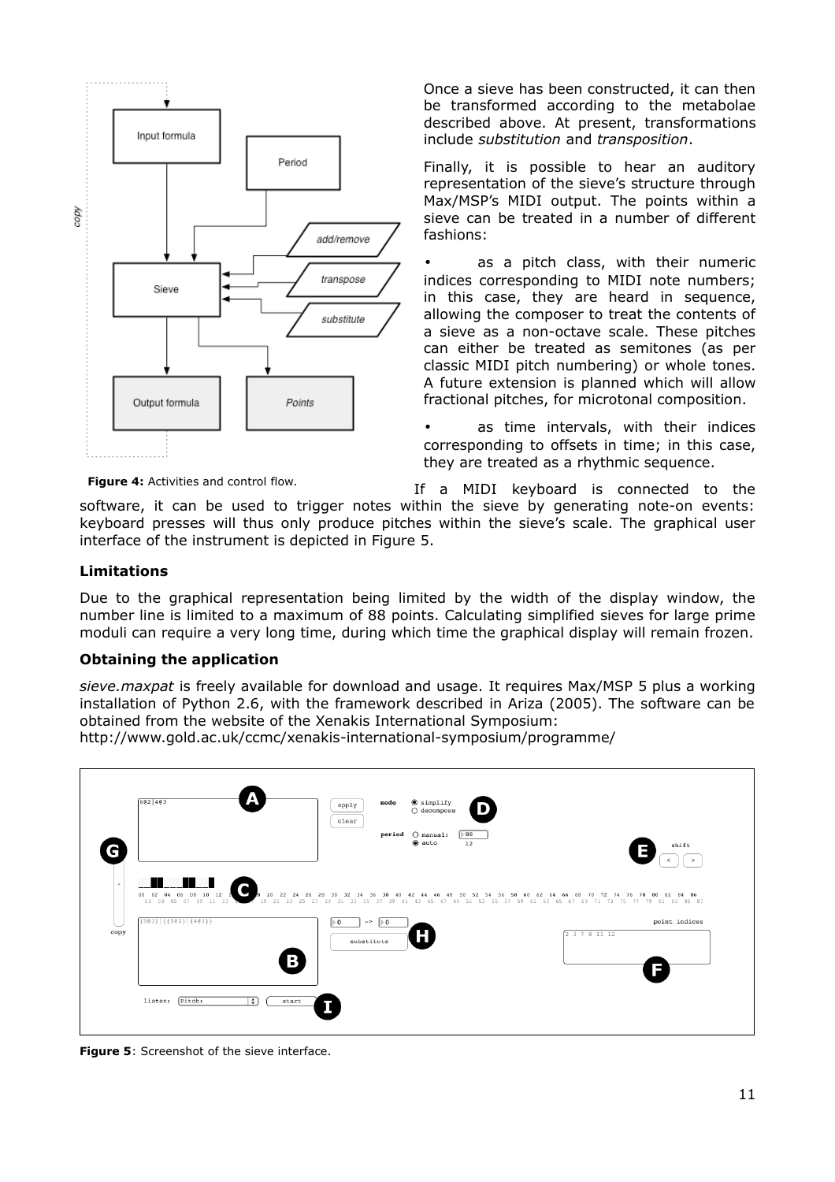

Once a sieve has been constructed, it can then be transformed according to the metabolae described above. At present, transformations include *substitution* and *transposition*.

Finally, it is possible to hear an auditory representation of the sieve's structure through Max/MSP's MIDI output. The points within a sieve can be treated in a number of different fashions:

as a pitch class, with their numeric indices corresponding to MIDI note numbers; in this case, they are heard in sequence, allowing the composer to treat the contents of a sieve as a non-octave scale. These pitches can either be treated as semitones (as per classic MIDI pitch numbering) or whole tones. A future extension is planned which will allow fractional pitches, for microtonal composition.

as time intervals, with their indices corresponding to offsets in time; in this case, they are treated as a rhythmic sequence.

**Figure 4:** Activities and control flow.

If a MIDI keyboard is connected to the

software, it can be used to trigger notes within the sieve by generating note-on events: keyboard presses will thus only produce pitches within the sieve's scale. The graphical user interface of the instrument is depicted in Figure 5.

#### **Limitations**

Due to the graphical representation being limited by the width of the display window, the number line is limited to a maximum of 88 points. Calculating simplified sieves for large prime moduli can require a very long time, during which time the graphical display will remain frozen.

#### **Obtaining the application**

*sieve.maxpat* is freely available for download and usage. It requires Max/MSP 5 plus a working installation of Python 2.6, with the framework described in Ariza (2005). The software can be obtained from the website of the Xenakis International Symposium: http://www.gold.ac.uk/ccmc/xenakis-international-symposium/programme/

 $6821483$  $app1y$ simplify  $_{\text{clear}}$  $O$  manual  $\cdot$  $\sqrt{88}$ shift G  $\left\lfloor \cdot \right\rfloor$ **The Second** C  $\frac{30}{20}$   $\frac{32}{31}$   $\frac{34}{35}$   $\frac{36}{37}$   $\frac{38}{30}$   $\frac{40}{35}$  $503$ }  $(1502)$   $(403)$  $\boxed{\vdash 0 \qquad \qquad} \Rightarrow \quad \boxed{\vdash 0 \qquad }$ point indices copy substitute B listen: Pitch: ⊤≎⊺ start Т

**Figure 5**: Screenshot of the sieve interface.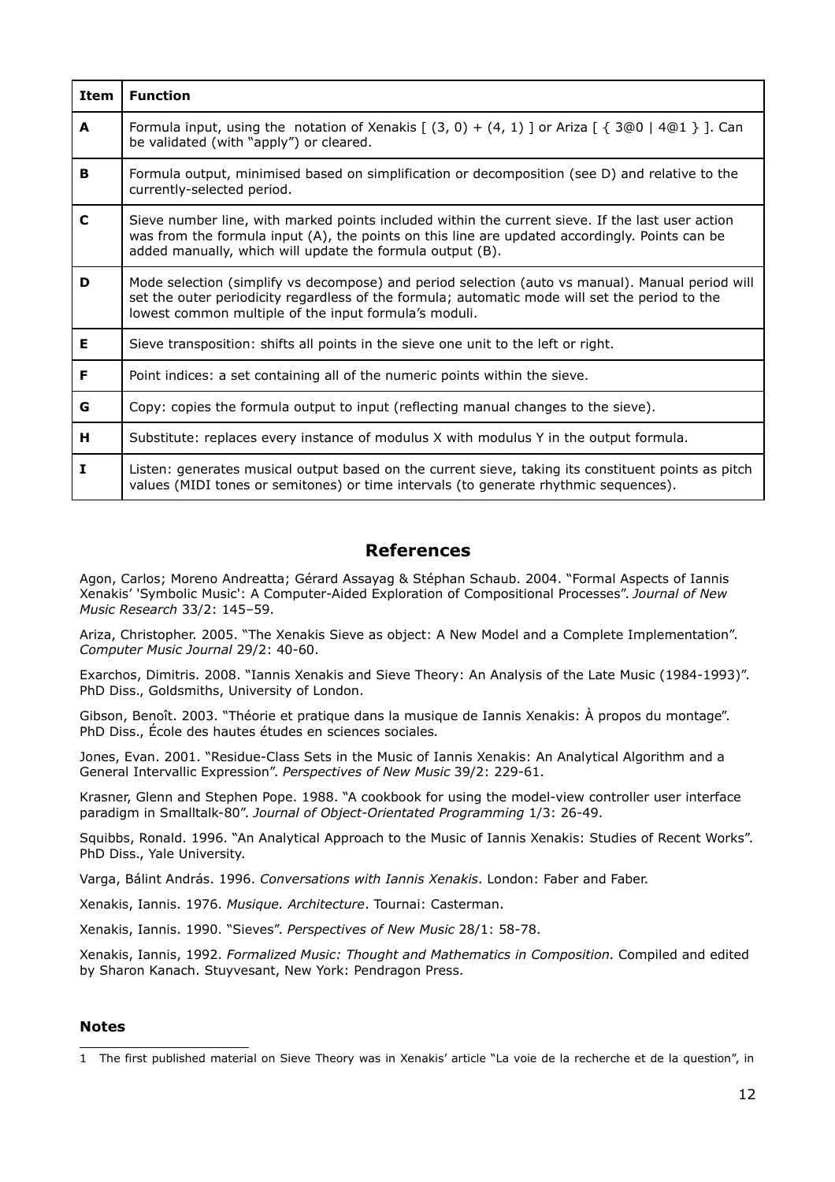| <b>Item</b> | <b>Function</b>                                                                                                                                                                                                                                                 |  |  |  |  |
|-------------|-----------------------------------------------------------------------------------------------------------------------------------------------------------------------------------------------------------------------------------------------------------------|--|--|--|--|
| A           | Formula input, using the notation of Xenakis $[ (3, 0) + (4, 1) ]$ or Ariza $[ \{ 3@0   4@1 \} ]$ . Can<br>be validated (with "apply") or cleared.                                                                                                              |  |  |  |  |
| в           | Formula output, minimised based on simplification or decomposition (see D) and relative to the<br>currently-selected period.                                                                                                                                    |  |  |  |  |
| C           | Sieve number line, with marked points included within the current sieve. If the last user action<br>was from the formula input (A), the points on this line are updated accordingly. Points can be<br>added manually, which will update the formula output (B). |  |  |  |  |
| D           | Mode selection (simplify vs decompose) and period selection (auto vs manual). Manual period will<br>set the outer periodicity regardless of the formula; automatic mode will set the period to the<br>lowest common multiple of the input formula's moduli.     |  |  |  |  |
| Е           | Sieve transposition: shifts all points in the sieve one unit to the left or right.                                                                                                                                                                              |  |  |  |  |
| F           | Point indices: a set containing all of the numeric points within the sieve.                                                                                                                                                                                     |  |  |  |  |
| G           | Copy: copies the formula output to input (reflecting manual changes to the sieve).                                                                                                                                                                              |  |  |  |  |
| н           | Substitute: replaces every instance of modulus X with modulus Y in the output formula.                                                                                                                                                                          |  |  |  |  |
| I           | Listen: generates musical output based on the current sieve, taking its constituent points as pitch<br>values (MIDI tones or semitones) or time intervals (to generate rhythmic sequences).                                                                     |  |  |  |  |

## **References**

Agon, Carlos; Moreno Andreatta; Gérard Assayag & Stéphan Schaub. 2004. "Formal Aspects of Iannis Xenakis' 'Symbolic Music': A Computer-Aided Exploration of Compositional Processes". *Journal of New Music Research* 33/2: 145–59.

Ariza, Christopher. 2005. "The Xenakis Sieve as object: A New Model and a Complete Implementation". *Computer Music Journal* 29/2: 40-60.

Exarchos, Dimitris. 2008. "Iannis Xenakis and Sieve Theory: An Analysis of the Late Music (1984-1993)". PhD Diss., Goldsmiths, University of London.

Gibson, Benoît. 2003. "Théorie et pratique dans la musique de Iannis Xenakis: À propos du montage". PhD Diss., École des hautes études en sciences sociales.

Jones, Evan. 2001. "Residue-Class Sets in the Music of Iannis Xenakis: An Analytical Algorithm and a General Intervallic Expression". *Perspectives of New Music* 39/2: 229-61.

Krasner, Glenn and Stephen Pope. 1988. "A cookbook for using the model-view controller user interface paradigm in Smalltalk-80". *Journal of Object-Orientated Programming* 1/3: 26-49.

Squibbs, Ronald. 1996. "An Analytical Approach to the Music of Iannis Xenakis: Studies of Recent Works". PhD Diss., Yale University.

Varga, Bálint András. 1996. *Conversations with Iannis Xenakis*. London: Faber and Faber.

Xenakis, Iannis. 1976. *Musique. Architecture*. Tournai: Casterman.

Xenakis, Iannis. 1990. "Sieves". *Perspectives of New Music* 28/1: 58-78.

Xenakis, Iannis, 1992. *Formalized Music: Thought and Mathematics in Composition.* Compiled and edited by Sharon Kanach. Stuyvesant, New York: Pendragon Press.

#### **Notes**

<span id="page-11-0"></span><sup>1</sup> The first published material on Sieve Theory was in Xenakis' article "La voie de la recherche et de la question", in